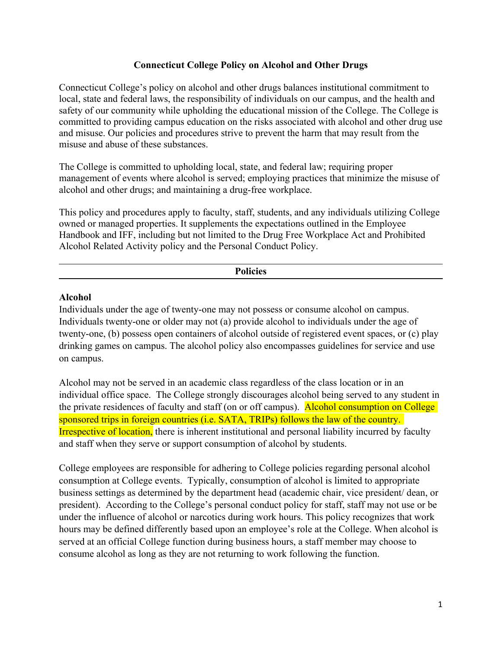# **Connecticut College Policy on Alcohol and Other Drugs**

Connecticut College's policy on alcohol and other drugs balances institutional commitment to local, state and federal laws, the responsibility of individuals on our campus, and the health and safety of our community while upholding the educational mission of the College. The College is committed to providing campus education on the risks associated with alcohol and other drug use and misuse. Our policies and procedures strive to prevent the harm that may result from the misuse and abuse of these substances.

The College is committed to upholding local, state, and federal law; requiring proper management of events where alcohol is served; employing practices that minimize the misuse of alcohol and other drugs; and maintaining a drug-free workplace.

This policy and procedures apply to faculty, staff, students, and any individuals utilizing College owned or managed properties. It supplements the expectations outlined in the Employee Handbook and IFF, including but not limited to the Drug Free Workplace Act and Prohibited Alcohol Related Activity policy and the Personal Conduct Policy.

#### **Policies**

# **Alcohol**

Individuals under the age of twenty-one may not possess or consume alcohol on campus. Individuals twenty-one or older may not (a) provide alcohol to individuals under the age of twenty-one, (b) possess open containers of alcohol outside of registered event spaces, or (c) play drinking games on campus. The alcohol policy also encompasses guidelines for service and use on campus.

Alcohol may not be served in an academic class regardless of the class location or in an individual office space. The College strongly discourages alcohol being served to any student in the private residences of faculty and staff (on or off campus). Alcohol consumption on College sponsored trips in foreign countries (i.e. SATA, TRIPs) follows the law of the country. **Irrespective of location,** there is inherent institutional and personal liability incurred by faculty and staff when they serve or support consumption of alcohol by students.

College employees are responsible for adhering to College policies regarding personal alcohol consumption at College events. Typically, consumption of alcohol is limited to appropriate business settings as determined by the department head (academic chair, vice president/ dean, or president). According to the College's personal conduct policy for staff, staff may not use or be under the influence of alcohol or narcotics during work hours. This policy recognizes that work hours may be defined differently based upon an employee's role at the College. When alcohol is served at an official College function during business hours, a staff member may choose to consume alcohol as long as they are not returning to work following the function.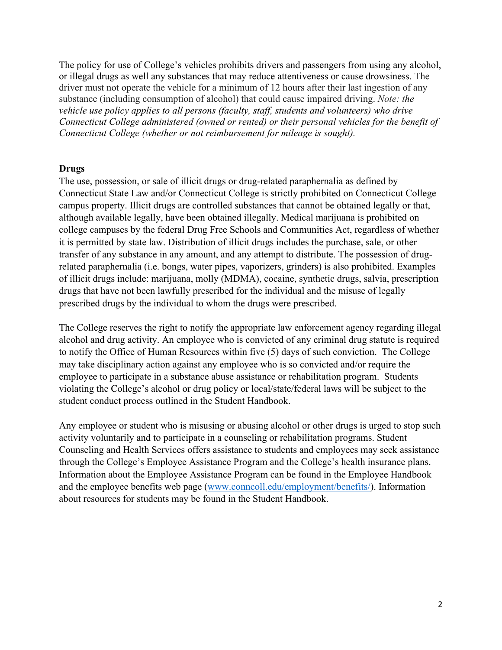The policy for use of College's vehicles prohibits drivers and passengers from using any alcohol, or illegal drugs as well any substances that may reduce attentiveness or cause drowsiness. The driver must not operate the vehicle for a minimum of 12 hours after their last ingestion of any substance (including consumption of alcohol) that could cause impaired driving. *Note: the vehicle use policy applies to all persons (faculty, staff, students and volunteers) who drive Connecticut College administered (owned or rented) or their personal vehicles for the benefit of Connecticut College (whether or not reimbursement for mileage is sought).*

### **Drugs**

The use, possession, or sale of illicit drugs or drug-related paraphernalia as defined by Connecticut State Law and/or Connecticut College is strictly prohibited on Connecticut College campus property. Illicit drugs are controlled substances that cannot be obtained legally or that, although available legally, have been obtained illegally. Medical marijuana is prohibited on college campuses by the federal Drug Free Schools and Communities Act, regardless of whether it is permitted by state law. Distribution of illicit drugs includes the purchase, sale, or other transfer of any substance in any amount, and any attempt to distribute. The possession of drugrelated paraphernalia (i.e. bongs, water pipes, vaporizers, grinders) is also prohibited. Examples of illicit drugs include: marijuana, molly (MDMA), cocaine, synthetic drugs, salvia, prescription drugs that have not been lawfully prescribed for the individual and the misuse of legally prescribed drugs by the individual to whom the drugs were prescribed.

The College reserves the right to notify the appropriate law enforcement agency regarding illegal alcohol and drug activity. An employee who is convicted of any criminal drug statute is required to notify the Office of Human Resources within five (5) days of such conviction. The College may take disciplinary action against any employee who is so convicted and/or require the employee to participate in a substance abuse assistance or rehabilitation program. Students violating the College's alcohol or drug policy or local/state/federal laws will be subject to the student conduct process outlined in the Student Handbook.

Any employee or student who is misusing or abusing alcohol or other drugs is urged to stop such activity voluntarily and to participate in a counseling or rehabilitation programs. Student Counseling and Health Services offers assistance to students and employees may seek assistance through the College's Employee Assistance Program and the College's health insurance plans. Information about the Employee Assistance Program can be found in the Employee Handbook and the employee benefits web page (www.conncoll.edu/employment/benefits/). Information about resources for students may be found in the Student Handbook.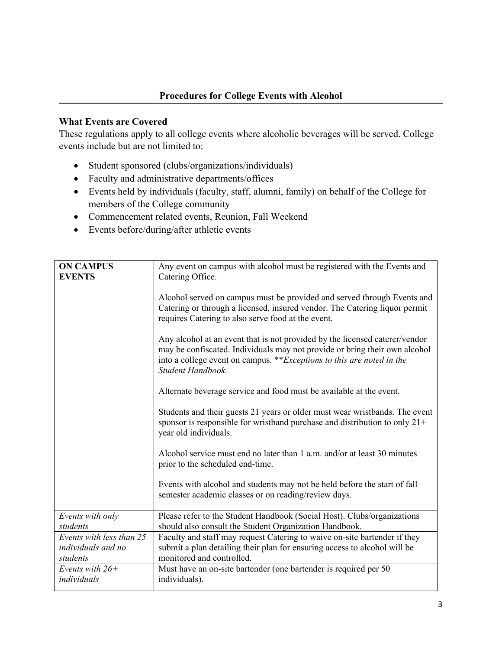# **What Events are Covered**

These regulations apply to all college events where alcoholic beverages will be served. College events include but are not limited to:

- Student sponsored (clubs/organizations/individuals)
- Faculty and administrative departments/offices
- x Events held by individuals (faculty, staff, alumni, family) on behalf of the College for members of the College community
- Commencement related events, Reunion, Fall Weekend
- $\bullet$  Events before/during/after athletic events

| <b>ON CAMPUS</b><br><b>EVENTS</b>                          | Any event on campus with alcohol must be registered with the Events and<br>Catering Office.                                                                                                                                                             |
|------------------------------------------------------------|---------------------------------------------------------------------------------------------------------------------------------------------------------------------------------------------------------------------------------------------------------|
|                                                            | Alcohol served on campus must be provided and served through Events and<br>Catering or through a licensed, insured vendor. The Catering liquor permit<br>requires Catering to also serve food at the event.                                             |
|                                                            | Any alcohol at an event that is not provided by the licensed caterer/vendor<br>may be confiscated. Individuals may not provide or bring their own alcohol<br>into a college event on campus. **Exceptions to this are noted in the<br>Student Handbook. |
|                                                            | Alternate beverage service and food must be available at the event.                                                                                                                                                                                     |
|                                                            | Students and their guests 21 years or older must wear wristbands. The event<br>sponsor is responsible for wristband purchase and distribution to only 21+<br>year old individuals.                                                                      |
|                                                            | Alcohol service must end no later than 1 a.m. and/or at least 30 minutes<br>prior to the scheduled end-time.                                                                                                                                            |
|                                                            | Events with alcohol and students may not be held before the start of fall<br>semester academic classes or on reading/review days.                                                                                                                       |
| Events with only<br>students                               | Please refer to the Student Handbook (Social Host). Clubs/organizations<br>should also consult the Student Organization Handbook.                                                                                                                       |
| Events with less than 25<br>individuals and no<br>students | Faculty and staff may request Catering to waive on-site bartender if they<br>submit a plan detailing their plan for ensuring access to alcohol will be<br>monitored and controlled.                                                                     |
| Events with $26+$<br>individuals                           | Must have an on-site bartender (one bartender is required per 50<br>individuals).                                                                                                                                                                       |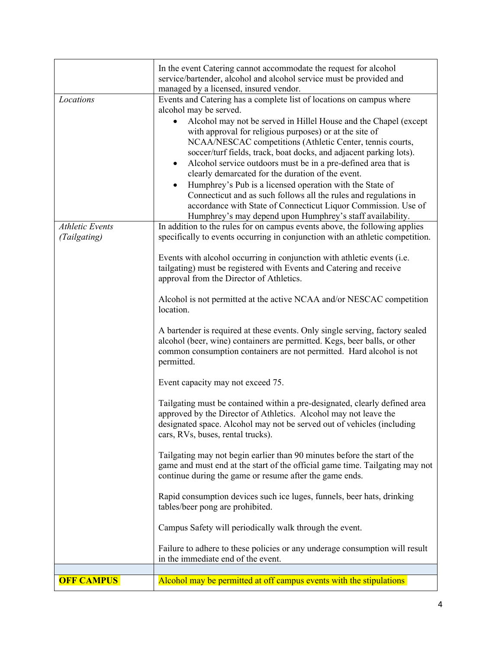|                                        | In the event Catering cannot accommodate the request for alcohol<br>service/bartender, alcohol and alcohol service must be provided and<br>managed by a licensed, insured vendor.                                                                                                                                                                                                                                                                                                                                                                                                                                                                                                                                                                                                |
|----------------------------------------|----------------------------------------------------------------------------------------------------------------------------------------------------------------------------------------------------------------------------------------------------------------------------------------------------------------------------------------------------------------------------------------------------------------------------------------------------------------------------------------------------------------------------------------------------------------------------------------------------------------------------------------------------------------------------------------------------------------------------------------------------------------------------------|
| Locations                              | Events and Catering has a complete list of locations on campus where<br>alcohol may be served.<br>Alcohol may not be served in Hillel House and the Chapel (except<br>with approval for religious purposes) or at the site of<br>NCAA/NESCAC competitions (Athletic Center, tennis courts,<br>soccer/turf fields, track, boat docks, and adjacent parking lots).<br>Alcohol service outdoors must be in a pre-defined area that is<br>$\bullet$<br>clearly demarcated for the duration of the event.<br>Humphrey's Pub is a licensed operation with the State of<br>$\bullet$<br>Connecticut and as such follows all the rules and regulations in<br>accordance with State of Connecticut Liquor Commission. Use of<br>Humphrey's may depend upon Humphrey's staff availability. |
| <b>Athletic Events</b><br>(Tailgating) | In addition to the rules for on campus events above, the following applies<br>specifically to events occurring in conjunction with an athletic competition.<br>Events with alcohol occurring in conjunction with athletic events (i.e.<br>tailgating) must be registered with Events and Catering and receive<br>approval from the Director of Athletics.                                                                                                                                                                                                                                                                                                                                                                                                                        |
|                                        | Alcohol is not permitted at the active NCAA and/or NESCAC competition<br>location.<br>A bartender is required at these events. Only single serving, factory sealed<br>alcohol (beer, wine) containers are permitted. Kegs, beer balls, or other                                                                                                                                                                                                                                                                                                                                                                                                                                                                                                                                  |
|                                        | common consumption containers are not permitted. Hard alcohol is not<br>permitted.<br>Event capacity may not exceed 75.                                                                                                                                                                                                                                                                                                                                                                                                                                                                                                                                                                                                                                                          |
|                                        | Tailgating must be contained within a pre-designated, clearly defined area<br>approved by the Director of Athletics. Alcohol may not leave the<br>designated space. Alcohol may not be served out of vehicles (including<br>cars, RVs, buses, rental trucks).                                                                                                                                                                                                                                                                                                                                                                                                                                                                                                                    |
|                                        | Tailgating may not begin earlier than 90 minutes before the start of the<br>game and must end at the start of the official game time. Tailgating may not<br>continue during the game or resume after the game ends.                                                                                                                                                                                                                                                                                                                                                                                                                                                                                                                                                              |
|                                        | Rapid consumption devices such ice luges, funnels, beer hats, drinking<br>tables/beer pong are prohibited.                                                                                                                                                                                                                                                                                                                                                                                                                                                                                                                                                                                                                                                                       |
|                                        | Campus Safety will periodically walk through the event.                                                                                                                                                                                                                                                                                                                                                                                                                                                                                                                                                                                                                                                                                                                          |
|                                        | Failure to adhere to these policies or any underage consumption will result<br>in the immediate end of the event.                                                                                                                                                                                                                                                                                                                                                                                                                                                                                                                                                                                                                                                                |
| <b>OFF CAMPUS</b>                      | Alcohol may be permitted at off campus events with the stipulations                                                                                                                                                                                                                                                                                                                                                                                                                                                                                                                                                                                                                                                                                                              |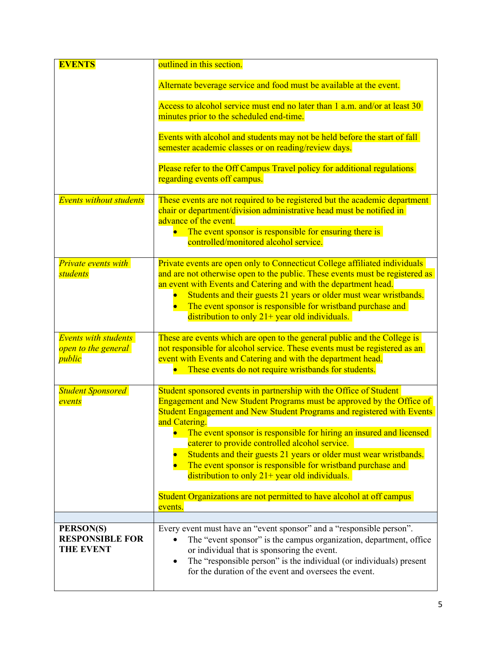| <b>EVENTS</b>                                                | outlined in this section.                                                                                                                                                                                                                                                                                                                                                                                             |
|--------------------------------------------------------------|-----------------------------------------------------------------------------------------------------------------------------------------------------------------------------------------------------------------------------------------------------------------------------------------------------------------------------------------------------------------------------------------------------------------------|
|                                                              | Alternate beverage service and food must be available at the event.                                                                                                                                                                                                                                                                                                                                                   |
|                                                              | Access to alcohol service must end no later than 1 a.m. and/or at least 30<br>minutes prior to the scheduled end-time.                                                                                                                                                                                                                                                                                                |
|                                                              | Events with alcohol and students may not be held before the start of fall<br>semester academic classes or on reading/review days.                                                                                                                                                                                                                                                                                     |
|                                                              | Please refer to the Off Campus Travel policy for additional regulations<br>regarding events off campus.                                                                                                                                                                                                                                                                                                               |
| <b>Events without students</b>                               | These events are not required to be registered but the academic department<br>chair or department/division administrative head must be notified in<br>advance of the event.                                                                                                                                                                                                                                           |
|                                                              | The event sponsor is responsible for ensuring there is<br>$\bullet$<br>controlled/monitored alcohol service.                                                                                                                                                                                                                                                                                                          |
| <b>Private events with</b><br>students                       | Private events are open only to Connecticut College affiliated individuals<br>and are not otherwise open to the public. These events must be registered as<br>an event with Events and Catering and with the department head.<br>Students and their guests 21 years or older must wear wristbands.<br>The event sponsor is responsible for wristband purchase and<br>distribution to only $21+$ year old individuals. |
| <b>Events with students</b><br>open to the general<br>public | These are events which are open to the general public and the College is<br>not responsible for alcohol service. These events must be registered as an<br>event with Events and Catering and with the department head.<br>These events do not require wristbands for students.                                                                                                                                        |
| <b>Student Sponsored</b><br>events                           | Student sponsored events in partnership with the Office of Student<br>Engagement and New Student Programs must be approved by the Office of<br>Student Engagement and New Student Programs and registered with Events<br>and Catering.                                                                                                                                                                                |
|                                                              | The event sponsor is responsible for hiring an insured and licensed<br>caterer to provide controlled alcohol service.<br>Students and their guests 21 years or older must wear wristbands.<br>The event sponsor is responsible for wristband purchase and<br>distribution to only $21+$ year old individuals.                                                                                                         |
|                                                              | Student Organizations are not permitted to have alcohol at off campus<br>events.                                                                                                                                                                                                                                                                                                                                      |
| PERSON(S)                                                    | Every event must have an "event sponsor" and a "responsible person".                                                                                                                                                                                                                                                                                                                                                  |
| <b>RESPONSIBLE FOR</b><br><b>THE EVENT</b>                   | The "event sponsor" is the campus organization, department, office<br>or individual that is sponsoring the event.<br>The "responsible person" is the individual (or individuals) present<br>$\bullet$<br>for the duration of the event and oversees the event.                                                                                                                                                        |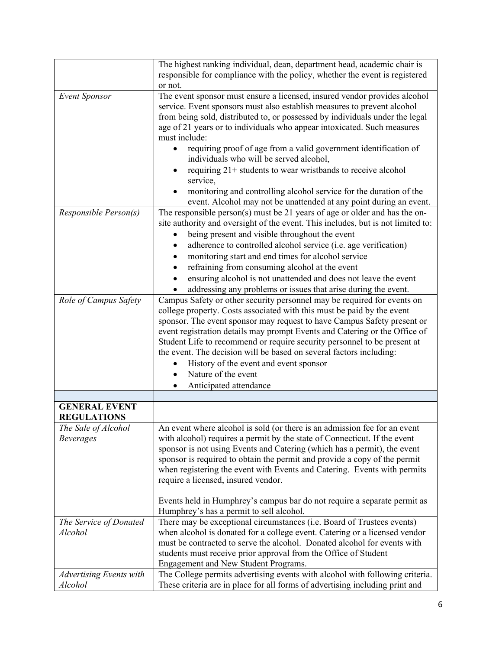|                                            | The highest ranking individual, dean, department head, academic chair is                                                                                                                                                                                                                                                                                                                                                                                                                                                                                                                          |
|--------------------------------------------|---------------------------------------------------------------------------------------------------------------------------------------------------------------------------------------------------------------------------------------------------------------------------------------------------------------------------------------------------------------------------------------------------------------------------------------------------------------------------------------------------------------------------------------------------------------------------------------------------|
|                                            | responsible for compliance with the policy, whether the event is registered                                                                                                                                                                                                                                                                                                                                                                                                                                                                                                                       |
|                                            | or not.                                                                                                                                                                                                                                                                                                                                                                                                                                                                                                                                                                                           |
| <b>Event Sponsor</b>                       | The event sponsor must ensure a licensed, insured vendor provides alcohol<br>service. Event sponsors must also establish measures to prevent alcohol<br>from being sold, distributed to, or possessed by individuals under the legal<br>age of 21 years or to individuals who appear intoxicated. Such measures<br>must include:<br>requiring proof of age from a valid government identification of<br>individuals who will be served alcohol,<br>requiring 21+ students to wear wristbands to receive alcohol<br>service,<br>monitoring and controlling alcohol service for the duration of the |
|                                            | event. Alcohol may not be unattended at any point during an event.                                                                                                                                                                                                                                                                                                                                                                                                                                                                                                                                |
| Responsible Person(s)                      | The responsible person(s) must be 21 years of age or older and has the on-<br>site authority and oversight of the event. This includes, but is not limited to:<br>being present and visible throughout the event<br>adherence to controlled alcohol service (i.e. age verification)<br>$\bullet$<br>monitoring start and end times for alcohol service<br>refraining from consuming alcohol at the event<br>ensuring alcohol is not unattended and does not leave the event<br>addressing any problems or issues that arise during the event.                                                     |
| Role of Campus Safety                      | Campus Safety or other security personnel may be required for events on                                                                                                                                                                                                                                                                                                                                                                                                                                                                                                                           |
|                                            | college property. Costs associated with this must be paid by the event<br>sponsor. The event sponsor may request to have Campus Safety present or<br>event registration details may prompt Events and Catering or the Office of<br>Student Life to recommend or require security personnel to be present at<br>the event. The decision will be based on several factors including:<br>History of the event and event sponsor<br>Nature of the event<br>Anticipated attendance                                                                                                                     |
|                                            |                                                                                                                                                                                                                                                                                                                                                                                                                                                                                                                                                                                                   |
| <b>GENERAL EVENT</b><br><b>REGULATIONS</b> |                                                                                                                                                                                                                                                                                                                                                                                                                                                                                                                                                                                                   |
| The Sale of Alcohol<br><b>Beverages</b>    | An event where alcohol is sold (or there is an admission fee for an event<br>with alcohol) requires a permit by the state of Connecticut. If the event<br>sponsor is not using Events and Catering (which has a permit), the event<br>sponsor is required to obtain the permit and provide a copy of the permit<br>when registering the event with Events and Catering. Events with permits<br>require a licensed, insured vendor.                                                                                                                                                                |
|                                            | Events held in Humphrey's campus bar do not require a separate permit as<br>Humphrey's has a permit to sell alcohol.                                                                                                                                                                                                                                                                                                                                                                                                                                                                              |
| The Service of Donated<br>Alcohol          | There may be exceptional circumstances (i.e. Board of Trustees events)<br>when alcohol is donated for a college event. Catering or a licensed vendor<br>must be contracted to serve the alcohol. Donated alcohol for events with<br>students must receive prior approval from the Office of Student<br>Engagement and New Student Programs.                                                                                                                                                                                                                                                       |
| Advertising Events with                    | The College permits advertising events with alcohol with following criteria.                                                                                                                                                                                                                                                                                                                                                                                                                                                                                                                      |
| Alcohol                                    | These criteria are in place for all forms of advertising including print and                                                                                                                                                                                                                                                                                                                                                                                                                                                                                                                      |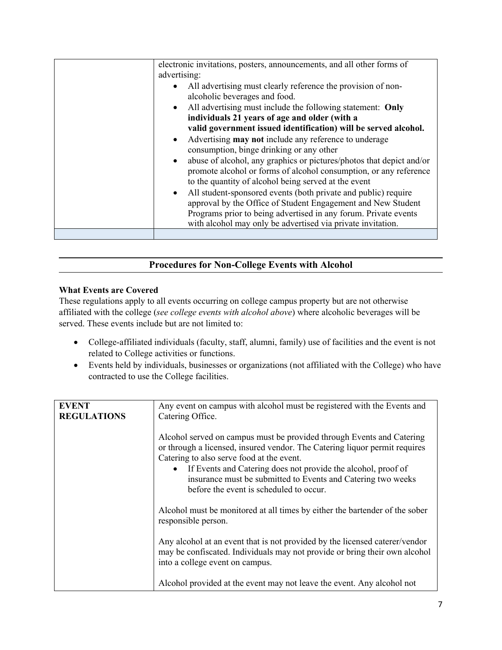| electronic invitations, posters, announcements, and all other forms of<br>advertising:                                                                                                                                                                                        |
|-------------------------------------------------------------------------------------------------------------------------------------------------------------------------------------------------------------------------------------------------------------------------------|
| • All advertising must clearly reference the provision of non-<br>alcoholic beverages and food.                                                                                                                                                                               |
| • All advertising must include the following statement: Only<br>individuals 21 years of age and older (with a                                                                                                                                                                 |
| valid government issued identification) will be served alcohol.                                                                                                                                                                                                               |
| Advertising <b>may not</b> include any reference to underage<br>$\bullet$                                                                                                                                                                                                     |
| consumption, binge drinking or any other                                                                                                                                                                                                                                      |
| abuse of alcohol, any graphics or pictures/photos that depict and/or<br>$\bullet$<br>promote alcohol or forms of alcohol consumption, or any reference<br>to the quantity of alcohol being served at the event                                                                |
| All student-sponsored events (both private and public) require<br>$\bullet$<br>approval by the Office of Student Engagement and New Student<br>Programs prior to being advertised in any forum. Private events<br>with alcohol may only be advertised via private invitation. |
|                                                                                                                                                                                                                                                                               |

# **Procedures for Non-College Events with Alcohol**

### **What Events are Covered**

These regulations apply to all events occurring on college campus property but are not otherwise affiliated with the college (*see college events with alcohol above*) where alcoholic beverages will be served. These events include but are not limited to:

- College-affiliated individuals (faculty, staff, alumni, family) use of facilities and the event is not related to College activities or functions.
- Events held by individuals, businesses or organizations (not affiliated with the College) who have contracted to use the College facilities.

| <b>EVENT</b>       | Any event on campus with alcohol must be registered with the Events and                                                                                                                      |
|--------------------|----------------------------------------------------------------------------------------------------------------------------------------------------------------------------------------------|
| <b>REGULATIONS</b> | Catering Office.                                                                                                                                                                             |
|                    |                                                                                                                                                                                              |
|                    | Alcohol served on campus must be provided through Events and Catering                                                                                                                        |
|                    | or through a licensed, insured vendor. The Catering liquor permit requires                                                                                                                   |
|                    | Catering to also serve food at the event.                                                                                                                                                    |
|                    | • If Events and Catering does not provide the alcohol, proof of<br>insurance must be submitted to Events and Catering two weeks<br>before the event is scheduled to occur.                   |
|                    | Alcohol must be monitored at all times by either the bartender of the sober<br>responsible person.                                                                                           |
|                    | Any alcohol at an event that is not provided by the licensed caterer/vendor<br>may be confiscated. Individuals may not provide or bring their own alcohol<br>into a college event on campus. |
|                    | Alcohol provided at the event may not leave the event. Any alcohol not                                                                                                                       |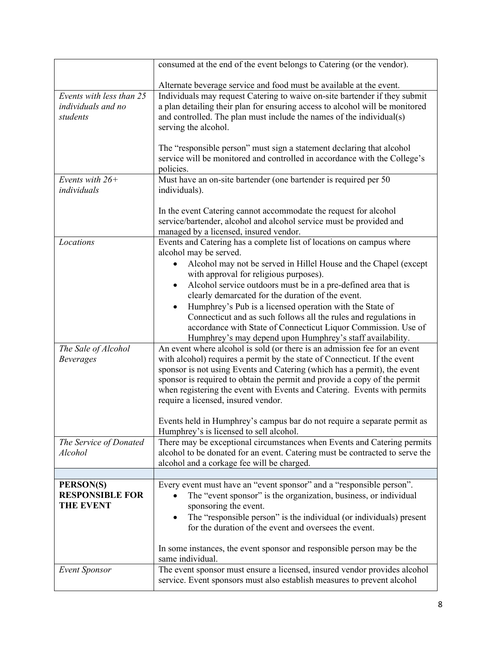|                                   | consumed at the end of the event belongs to Catering (or the vendor).                                                                                   |
|-----------------------------------|---------------------------------------------------------------------------------------------------------------------------------------------------------|
|                                   |                                                                                                                                                         |
| Events with less than 25          | Alternate beverage service and food must be available at the event.<br>Individuals may request Catering to waive on-site bartender if they submit       |
| individuals and no                | a plan detailing their plan for ensuring access to alcohol will be monitored                                                                            |
| students                          | and controlled. The plan must include the names of the individual(s)                                                                                    |
|                                   | serving the alcohol.                                                                                                                                    |
|                                   |                                                                                                                                                         |
|                                   | The "responsible person" must sign a statement declaring that alcohol                                                                                   |
|                                   | service will be monitored and controlled in accordance with the College's                                                                               |
|                                   | policies.                                                                                                                                               |
| Events with $26+$                 | Must have an on-site bartender (one bartender is required per 50                                                                                        |
| individuals                       | individuals).                                                                                                                                           |
|                                   |                                                                                                                                                         |
|                                   | In the event Catering cannot accommodate the request for alcohol<br>service/bartender, alcohol and alcohol service must be provided and                 |
|                                   | managed by a licensed, insured vendor.                                                                                                                  |
| Locations                         | Events and Catering has a complete list of locations on campus where                                                                                    |
|                                   | alcohol may be served.                                                                                                                                  |
|                                   | Alcohol may not be served in Hillel House and the Chapel (except                                                                                        |
|                                   | with approval for religious purposes).                                                                                                                  |
|                                   | Alcohol service outdoors must be in a pre-defined area that is<br>$\bullet$                                                                             |
|                                   | clearly demarcated for the duration of the event.                                                                                                       |
|                                   | Humphrey's Pub is a licensed operation with the State of<br>$\bullet$                                                                                   |
|                                   | Connecticut and as such follows all the rules and regulations in                                                                                        |
|                                   | accordance with State of Connecticut Liquor Commission. Use of                                                                                          |
| The Sale of Alcohol               | Humphrey's may depend upon Humphrey's staff availability.<br>An event where alcohol is sold (or there is an admission fee for an event                  |
| <b>Beverages</b>                  | with alcohol) requires a permit by the state of Connecticut. If the event                                                                               |
|                                   | sponsor is not using Events and Catering (which has a permit), the event                                                                                |
|                                   | sponsor is required to obtain the permit and provide a copy of the permit                                                                               |
|                                   | when registering the event with Events and Catering. Events with permits                                                                                |
|                                   | require a licensed, insured vendor.                                                                                                                     |
|                                   |                                                                                                                                                         |
|                                   | Events held in Humphrey's campus bar do not require a separate permit as                                                                                |
|                                   | Humphrey's is licensed to sell alcohol.                                                                                                                 |
| The Service of Donated<br>Alcohol | There may be exceptional circumstances when Events and Catering permits<br>alcohol to be donated for an event. Catering must be contracted to serve the |
|                                   | alcohol and a corkage fee will be charged.                                                                                                              |
|                                   |                                                                                                                                                         |
| PERSON(S)                         | Every event must have an "event sponsor" and a "responsible person".                                                                                    |
| <b>RESPONSIBLE FOR</b>            | The "event sponsor" is the organization, business, or individual                                                                                        |
| <b>THE EVENT</b>                  | sponsoring the event.                                                                                                                                   |
|                                   | The "responsible person" is the individual (or individuals) present<br>٠                                                                                |
|                                   | for the duration of the event and oversees the event.                                                                                                   |
|                                   |                                                                                                                                                         |
|                                   | In some instances, the event sponsor and responsible person may be the                                                                                  |
| <b>Event Sponsor</b>              | same individual.<br>The event sponsor must ensure a licensed, insured vendor provides alcohol                                                           |
|                                   | service. Event sponsors must also establish measures to prevent alcohol                                                                                 |
|                                   |                                                                                                                                                         |